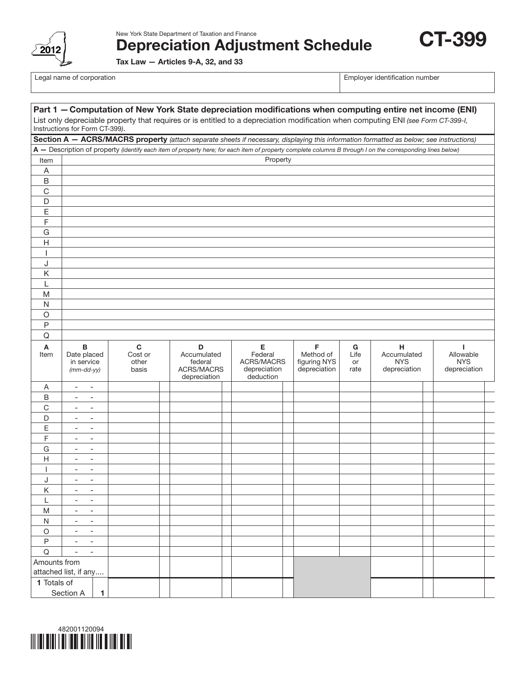

New York State Department of Taxation and Finance

Depreciation Adjustment Schedule

Tax Law — Articles 9-A, 32, and 33

Legal name of corporation extensive properties and the corporation of the corporation number  $\vert$  Employer identification number

CT-399

| Part 1 - Computation of New York State depreciation modifications when computing entire net income (ENI)                                                            |                                                                                                                                                            |              |                           |  |                                                             |                                                    |  |                                           |                    |                                           |  |                                         |  |
|---------------------------------------------------------------------------------------------------------------------------------------------------------------------|------------------------------------------------------------------------------------------------------------------------------------------------------------|--------------|---------------------------|--|-------------------------------------------------------------|----------------------------------------------------|--|-------------------------------------------|--------------------|-------------------------------------------|--|-----------------------------------------|--|
| List only depreciable property that requires or is entitled to a depreciation modification when computing ENI (see Form CT-399-I,<br>Instructions for Form CT-399). |                                                                                                                                                            |              |                           |  |                                                             |                                                    |  |                                           |                    |                                           |  |                                         |  |
|                                                                                                                                                                     | Section A - ACRS/MACRS property (attach separate sheets if necessary, displaying this information formatted as below; see instructions)                    |              |                           |  |                                                             |                                                    |  |                                           |                    |                                           |  |                                         |  |
|                                                                                                                                                                     | A - Description of property (identify each item of property here; for each item of property complete columns B through I on the corresponding lines below) |              |                           |  |                                                             |                                                    |  |                                           |                    |                                           |  |                                         |  |
| Item                                                                                                                                                                |                                                                                                                                                            |              |                           |  |                                                             | Property                                           |  |                                           |                    |                                           |  |                                         |  |
| A                                                                                                                                                                   |                                                                                                                                                            |              |                           |  |                                                             |                                                    |  |                                           |                    |                                           |  |                                         |  |
| B                                                                                                                                                                   |                                                                                                                                                            |              |                           |  |                                                             |                                                    |  |                                           |                    |                                           |  |                                         |  |
| $\mathsf C$                                                                                                                                                         |                                                                                                                                                            |              |                           |  |                                                             |                                                    |  |                                           |                    |                                           |  |                                         |  |
| D                                                                                                                                                                   |                                                                                                                                                            |              |                           |  |                                                             |                                                    |  |                                           |                    |                                           |  |                                         |  |
| Ε                                                                                                                                                                   |                                                                                                                                                            |              |                           |  |                                                             |                                                    |  |                                           |                    |                                           |  |                                         |  |
| F                                                                                                                                                                   |                                                                                                                                                            |              |                           |  |                                                             |                                                    |  |                                           |                    |                                           |  |                                         |  |
| G                                                                                                                                                                   |                                                                                                                                                            |              |                           |  |                                                             |                                                    |  |                                           |                    |                                           |  |                                         |  |
| H                                                                                                                                                                   |                                                                                                                                                            |              |                           |  |                                                             |                                                    |  |                                           |                    |                                           |  |                                         |  |
|                                                                                                                                                                     |                                                                                                                                                            |              |                           |  |                                                             |                                                    |  |                                           |                    |                                           |  |                                         |  |
| J                                                                                                                                                                   |                                                                                                                                                            |              |                           |  |                                                             |                                                    |  |                                           |                    |                                           |  |                                         |  |
| Κ                                                                                                                                                                   |                                                                                                                                                            |              |                           |  |                                                             |                                                    |  |                                           |                    |                                           |  |                                         |  |
| L                                                                                                                                                                   |                                                                                                                                                            |              |                           |  |                                                             |                                                    |  |                                           |                    |                                           |  |                                         |  |
| M                                                                                                                                                                   |                                                                                                                                                            |              |                           |  |                                                             |                                                    |  |                                           |                    |                                           |  |                                         |  |
| N                                                                                                                                                                   |                                                                                                                                                            |              |                           |  |                                                             |                                                    |  |                                           |                    |                                           |  |                                         |  |
| O                                                                                                                                                                   |                                                                                                                                                            |              |                           |  |                                                             |                                                    |  |                                           |                    |                                           |  |                                         |  |
| P                                                                                                                                                                   |                                                                                                                                                            |              |                           |  |                                                             |                                                    |  |                                           |                    |                                           |  |                                         |  |
| Q                                                                                                                                                                   |                                                                                                                                                            |              |                           |  |                                                             |                                                    |  |                                           |                    |                                           |  |                                         |  |
| Α                                                                                                                                                                   | В                                                                                                                                                          |              | $\mathbf c$               |  | D                                                           | Е                                                  |  | F                                         | G                  | н                                         |  | ı                                       |  |
| Item                                                                                                                                                                | Date placed<br>in service<br>$(mm-dd-yy)$                                                                                                                  |              | Cost or<br>other<br>basis |  | Accumulated<br>federal<br><b>ACRS/MACRS</b><br>depreciation | Federal<br>ACRS/MACRS<br>depreciation<br>deduction |  | Method of<br>figuring NYS<br>depreciation | Life<br>or<br>rate | Accumulated<br><b>NYS</b><br>depreciation |  | Allowable<br><b>NYS</b><br>depreciation |  |
| Α                                                                                                                                                                   | $\overline{\phantom{a}}$<br>$\overline{\phantom{a}}$                                                                                                       |              |                           |  |                                                             |                                                    |  |                                           |                    |                                           |  |                                         |  |
| B                                                                                                                                                                   | $\overline{\phantom{a}}$<br>$\overline{\phantom{a}}$                                                                                                       |              |                           |  |                                                             |                                                    |  |                                           |                    |                                           |  |                                         |  |
| С                                                                                                                                                                   | $\overline{\phantom{a}}$<br>$\overline{\phantom{a}}$                                                                                                       |              |                           |  |                                                             |                                                    |  |                                           |                    |                                           |  |                                         |  |
| D                                                                                                                                                                   | $\overline{\phantom{a}}$<br>$\overline{\phantom{a}}$                                                                                                       |              |                           |  |                                                             |                                                    |  |                                           |                    |                                           |  |                                         |  |
| Ε                                                                                                                                                                   | $\overline{\phantom{a}}$<br>$\overline{\phantom{a}}$                                                                                                       |              |                           |  |                                                             |                                                    |  |                                           |                    |                                           |  |                                         |  |
| F                                                                                                                                                                   | $\overline{\phantom{a}}$<br>$\overline{\phantom{a}}$                                                                                                       |              |                           |  |                                                             |                                                    |  |                                           |                    |                                           |  |                                         |  |
| G                                                                                                                                                                   | $\overline{\phantom{a}}$<br>$\overline{\phantom{a}}$                                                                                                       |              |                           |  |                                                             |                                                    |  |                                           |                    |                                           |  |                                         |  |
| $\mathsf{H}$                                                                                                                                                        | $\overline{\phantom{a}}$<br>$\overline{\phantom{a}}$                                                                                                       |              |                           |  |                                                             |                                                    |  |                                           |                    |                                           |  |                                         |  |
|                                                                                                                                                                     | $\overline{a}$<br>$\overline{\phantom{a}}$                                                                                                                 |              |                           |  |                                                             |                                                    |  |                                           |                    |                                           |  |                                         |  |
| J                                                                                                                                                                   | $\overline{\phantom{a}}$<br>$\overline{\phantom{a}}$                                                                                                       |              |                           |  |                                                             |                                                    |  |                                           |                    |                                           |  |                                         |  |
| Κ                                                                                                                                                                   | $\overline{\phantom{a}}$<br>$\overline{\phantom{a}}$                                                                                                       |              |                           |  |                                                             |                                                    |  |                                           |                    |                                           |  |                                         |  |
| L                                                                                                                                                                   | $\overline{\phantom{a}}$<br>$\overline{\phantom{a}}$                                                                                                       |              |                           |  |                                                             |                                                    |  |                                           |                    |                                           |  |                                         |  |
| M                                                                                                                                                                   | $\overline{\phantom{a}}$<br>$\overline{\phantom{a}}$                                                                                                       |              |                           |  |                                                             |                                                    |  |                                           |                    |                                           |  |                                         |  |
| N                                                                                                                                                                   | $\overline{\phantom{a}}$<br>$\overline{\phantom{a}}$                                                                                                       |              |                           |  |                                                             |                                                    |  |                                           |                    |                                           |  |                                         |  |
| $\bigcirc$                                                                                                                                                          | $\qquad \qquad \blacksquare$<br>$\overline{\phantom{a}}$                                                                                                   |              |                           |  |                                                             |                                                    |  |                                           |                    |                                           |  |                                         |  |
| $\sf P$                                                                                                                                                             | $\overline{\phantom{a}}$<br>$\overline{\phantom{a}}$                                                                                                       |              |                           |  |                                                             |                                                    |  |                                           |                    |                                           |  |                                         |  |
| $\mathsf Q$                                                                                                                                                         | $\overline{\phantom{a}}$                                                                                                                                   |              |                           |  |                                                             |                                                    |  |                                           |                    |                                           |  |                                         |  |
| Amounts from                                                                                                                                                        |                                                                                                                                                            |              |                           |  |                                                             |                                                    |  |                                           |                    |                                           |  |                                         |  |
|                                                                                                                                                                     | attached list, if any                                                                                                                                      |              |                           |  |                                                             |                                                    |  |                                           |                    |                                           |  |                                         |  |
|                                                                                                                                                                     | 1 Totals of                                                                                                                                                |              |                           |  |                                                             |                                                    |  |                                           |                    |                                           |  |                                         |  |
|                                                                                                                                                                     | Section A                                                                                                                                                  | $\mathbf{1}$ |                           |  |                                                             |                                                    |  |                                           |                    |                                           |  |                                         |  |

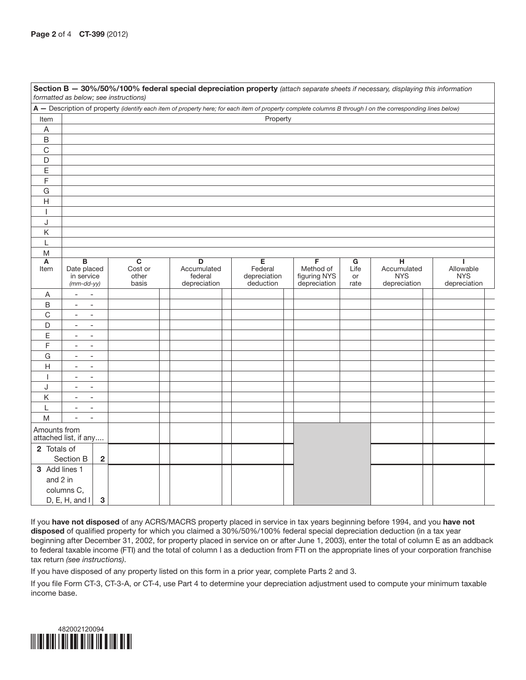| Section B - 30%/50%/100% federal special depreciation property (attach separate sheets if necessary, displaying this information<br>formatted as below; see instructions) |                                                      |                         |  |                        |              |  |                             |           |                  |              |  |  |  |
|---------------------------------------------------------------------------------------------------------------------------------------------------------------------------|------------------------------------------------------|-------------------------|--|------------------------|--------------|--|-----------------------------|-----------|------------------|--------------|--|--|--|
| A - Description of property (identify each item of property here; for each item of property complete columns B through I on the corresponding lines below)                |                                                      |                         |  |                        |              |  |                             |           |                  |              |  |  |  |
| Item                                                                                                                                                                      | Property                                             |                         |  |                        |              |  |                             |           |                  |              |  |  |  |
| $\mathsf A$                                                                                                                                                               |                                                      |                         |  |                        |              |  |                             |           |                  |              |  |  |  |
| $\sf B$                                                                                                                                                                   |                                                      |                         |  |                        |              |  |                             |           |                  |              |  |  |  |
| $\mathsf C$                                                                                                                                                               |                                                      |                         |  |                        |              |  |                             |           |                  |              |  |  |  |
| D                                                                                                                                                                         |                                                      |                         |  |                        |              |  |                             |           |                  |              |  |  |  |
| $\mathsf E$                                                                                                                                                               |                                                      |                         |  |                        |              |  |                             |           |                  |              |  |  |  |
| $\mathsf F$                                                                                                                                                               |                                                      |                         |  |                        |              |  |                             |           |                  |              |  |  |  |
| ${\mathsf G}$                                                                                                                                                             |                                                      |                         |  |                        |              |  |                             |           |                  |              |  |  |  |
| H                                                                                                                                                                         |                                                      |                         |  |                        |              |  |                             |           |                  |              |  |  |  |
| $\overline{\phantom{a}}$                                                                                                                                                  |                                                      |                         |  |                        |              |  |                             |           |                  |              |  |  |  |
| J                                                                                                                                                                         |                                                      |                         |  |                        |              |  |                             |           |                  |              |  |  |  |
| Κ                                                                                                                                                                         |                                                      |                         |  |                        |              |  |                             |           |                  |              |  |  |  |
| L                                                                                                                                                                         |                                                      |                         |  |                        |              |  |                             |           |                  |              |  |  |  |
| M                                                                                                                                                                         |                                                      |                         |  |                        |              |  |                             |           |                  |              |  |  |  |
| Α                                                                                                                                                                         | $\overline{\mathbf{B}}$<br>Date placed               | $\overline{\mathbf{c}}$ |  | D                      | Е<br>Federal |  | $\overline{F}$<br>Method of | G<br>Life | н<br>Accumulated | Allowable    |  |  |  |
| Item                                                                                                                                                                      | in service                                           | Cost or<br>other        |  | Accumulated<br>federal | depreciation |  | figuring NYS                | or        | <b>NYS</b>       | <b>NYS</b>   |  |  |  |
|                                                                                                                                                                           | $(mm$ -dd-yy)                                        | basis                   |  | depreciation           | deduction    |  | depreciation                | rate      | depreciation     | depreciation |  |  |  |
| Α                                                                                                                                                                         | $\overline{\phantom{a}}$<br>$\overline{\phantom{a}}$ |                         |  |                        |              |  |                             |           |                  |              |  |  |  |
| B                                                                                                                                                                         | $\overline{\phantom{a}}$<br>$\overline{\phantom{a}}$ |                         |  |                        |              |  |                             |           |                  |              |  |  |  |
| $\mathsf C$                                                                                                                                                               | $\overline{\phantom{a}}$<br>$\overline{\phantom{a}}$ |                         |  |                        |              |  |                             |           |                  |              |  |  |  |
| D                                                                                                                                                                         | $\overline{\phantom{a}}$<br>$\overline{\phantom{a}}$ |                         |  |                        |              |  |                             |           |                  |              |  |  |  |
| E                                                                                                                                                                         | $\overline{\phantom{a}}$<br>$\overline{\phantom{a}}$ |                         |  |                        |              |  |                             |           |                  |              |  |  |  |
| F                                                                                                                                                                         | $\overline{\phantom{a}}$<br>$\overline{\phantom{a}}$ |                         |  |                        |              |  |                             |           |                  |              |  |  |  |
| G                                                                                                                                                                         | $\overline{\phantom{a}}$<br>$\overline{\phantom{a}}$ |                         |  |                        |              |  |                             |           |                  |              |  |  |  |
| $\mathsf{H}$                                                                                                                                                              | $\overline{\phantom{a}}$<br>$\overline{\phantom{a}}$ |                         |  |                        |              |  |                             |           |                  |              |  |  |  |
| $\mathbf{I}$                                                                                                                                                              | $\overline{\phantom{a}}$<br>$\overline{\phantom{a}}$ |                         |  |                        |              |  |                             |           |                  |              |  |  |  |
| J                                                                                                                                                                         | $\overline{\phantom{a}}$<br>$\overline{\phantom{a}}$ |                         |  |                        |              |  |                             |           |                  |              |  |  |  |
| Κ                                                                                                                                                                         | $\overline{\phantom{a}}$<br>$\overline{\phantom{a}}$ |                         |  |                        |              |  |                             |           |                  |              |  |  |  |
| L                                                                                                                                                                         | $\overline{\phantom{a}}$<br>$\overline{\phantom{a}}$ |                         |  |                        |              |  |                             |           |                  |              |  |  |  |
| M                                                                                                                                                                         | $\overline{\phantom{a}}$<br>$\overline{\phantom{a}}$ |                         |  |                        |              |  |                             |           |                  |              |  |  |  |
| Amounts from<br>attached list, if any                                                                                                                                     |                                                      |                         |  |                        |              |  |                             |           |                  |              |  |  |  |
| 2 Totals of                                                                                                                                                               |                                                      |                         |  |                        |              |  |                             |           |                  |              |  |  |  |
|                                                                                                                                                                           | Section B<br>$\overline{\mathbf{2}}$                 |                         |  |                        |              |  |                             |           |                  |              |  |  |  |
| 3 Add lines 1                                                                                                                                                             |                                                      |                         |  |                        |              |  |                             |           |                  |              |  |  |  |
| and 2 in                                                                                                                                                                  |                                                      |                         |  |                        |              |  |                             |           |                  |              |  |  |  |
|                                                                                                                                                                           | columns C,                                           |                         |  |                        |              |  |                             |           |                  |              |  |  |  |
|                                                                                                                                                                           | D, E, H, and I<br>3                                  |                         |  |                        |              |  |                             |           |                  |              |  |  |  |

If you have not disposed of any ACRS/MACRS property placed in service in tax years beginning before 1994, and you have not disposed of qualified property for which you claimed a 30%/50%/100% federal special depreciation deduction (in a tax year beginning after December 31, 2002, for property placed in service on or after June 1, 2003), enter the total of column E as an addback to federal taxable income (FTI) and the total of column I as a deduction from FTI on the appropriate lines of your corporation franchise tax return *(see instructions)*.

If you have disposed of any property listed on this form in a prior year, complete Parts 2 and 3.

If you file Form CT-3, CT-3-A, or CT-4, use Part 4 to determine your depreciation adjustment used to compute your minimum taxable income base.

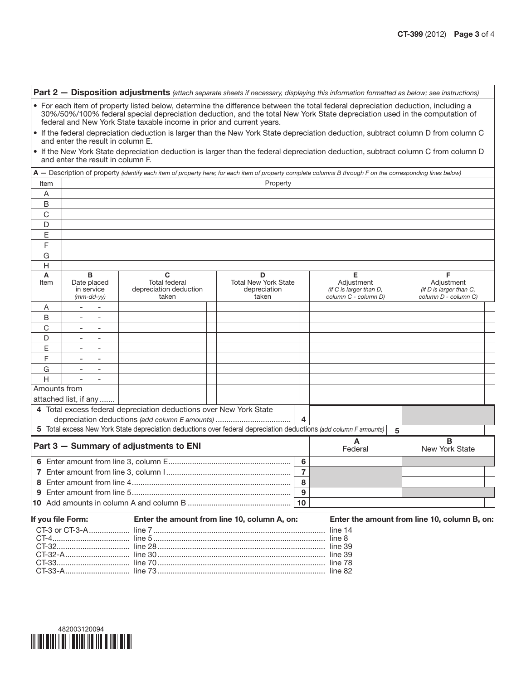|                                                                                                                                                                        |                                                                                                                                   | Part 2 - Disposition adjustments (attach separate sheets if necessary, displaying this information formatted as below; see instructions)                                                                                                                                                                                               |  |                                                           |                                                                    |                                                                    |   |                                              |  |  |  |
|------------------------------------------------------------------------------------------------------------------------------------------------------------------------|-----------------------------------------------------------------------------------------------------------------------------------|----------------------------------------------------------------------------------------------------------------------------------------------------------------------------------------------------------------------------------------------------------------------------------------------------------------------------------------|--|-----------------------------------------------------------|--------------------------------------------------------------------|--------------------------------------------------------------------|---|----------------------------------------------|--|--|--|
|                                                                                                                                                                        |                                                                                                                                   | • For each item of property listed below, determine the difference between the total federal depreciation deduction, including a<br>30%/50%/100% federal special depreciation deduction, and the total New York State depreciation used in the computation of<br>federal and New York State taxable income in prior and current years. |  |                                                           |                                                                    |                                                                    |   |                                              |  |  |  |
|                                                                                                                                                                        | • If the federal depreciation deduction is larger than the New York State depreciation deduction, subtract column D from column C |                                                                                                                                                                                                                                                                                                                                        |  |                                                           |                                                                    |                                                                    |   |                                              |  |  |  |
| and enter the result in column E.<br>. If the New York State depreciation deduction is larger than the federal depreciation deduction, subtract column C from column D |                                                                                                                                   |                                                                                                                                                                                                                                                                                                                                        |  |                                                           |                                                                    |                                                                    |   |                                              |  |  |  |
|                                                                                                                                                                        | and enter the result in column F.                                                                                                 |                                                                                                                                                                                                                                                                                                                                        |  |                                                           |                                                                    |                                                                    |   |                                              |  |  |  |
|                                                                                                                                                                        |                                                                                                                                   | A - Description of property (identify each item of property here; for each item of property complete columns B through F on the corresponding lines below)                                                                                                                                                                             |  |                                                           |                                                                    |                                                                    |   |                                              |  |  |  |
| Item                                                                                                                                                                   | Property                                                                                                                          |                                                                                                                                                                                                                                                                                                                                        |  |                                                           |                                                                    |                                                                    |   |                                              |  |  |  |
| A                                                                                                                                                                      |                                                                                                                                   |                                                                                                                                                                                                                                                                                                                                        |  |                                                           |                                                                    |                                                                    |   |                                              |  |  |  |
| B                                                                                                                                                                      |                                                                                                                                   |                                                                                                                                                                                                                                                                                                                                        |  |                                                           |                                                                    |                                                                    |   |                                              |  |  |  |
| С                                                                                                                                                                      |                                                                                                                                   |                                                                                                                                                                                                                                                                                                                                        |  |                                                           |                                                                    |                                                                    |   |                                              |  |  |  |
| D                                                                                                                                                                      |                                                                                                                                   |                                                                                                                                                                                                                                                                                                                                        |  |                                                           |                                                                    |                                                                    |   |                                              |  |  |  |
| Ε                                                                                                                                                                      |                                                                                                                                   |                                                                                                                                                                                                                                                                                                                                        |  |                                                           |                                                                    |                                                                    |   |                                              |  |  |  |
| F                                                                                                                                                                      |                                                                                                                                   |                                                                                                                                                                                                                                                                                                                                        |  |                                                           |                                                                    |                                                                    |   |                                              |  |  |  |
| G                                                                                                                                                                      |                                                                                                                                   |                                                                                                                                                                                                                                                                                                                                        |  |                                                           |                                                                    |                                                                    |   |                                              |  |  |  |
| Н                                                                                                                                                                      |                                                                                                                                   |                                                                                                                                                                                                                                                                                                                                        |  |                                                           |                                                                    |                                                                    |   |                                              |  |  |  |
| A<br>Item                                                                                                                                                              | B<br>Date placed<br>in service<br>$(mm$ -dd-yy $)$                                                                                | C<br><b>Total federal</b><br>depreciation deduction<br>taken                                                                                                                                                                                                                                                                           |  | D<br><b>Total New York State</b><br>depreciation<br>taken | Е<br>Adjustment<br>(if C is larger than D,<br>column C - column D) | F<br>Adjustment<br>(if D is larger than C,<br>column D - column C) |   |                                              |  |  |  |
| A                                                                                                                                                                      |                                                                                                                                   |                                                                                                                                                                                                                                                                                                                                        |  |                                                           |                                                                    |                                                                    |   |                                              |  |  |  |
| B                                                                                                                                                                      |                                                                                                                                   |                                                                                                                                                                                                                                                                                                                                        |  |                                                           |                                                                    |                                                                    |   |                                              |  |  |  |
| C                                                                                                                                                                      |                                                                                                                                   |                                                                                                                                                                                                                                                                                                                                        |  |                                                           |                                                                    |                                                                    |   |                                              |  |  |  |
| D                                                                                                                                                                      |                                                                                                                                   |                                                                                                                                                                                                                                                                                                                                        |  |                                                           |                                                                    |                                                                    |   |                                              |  |  |  |
| Ε                                                                                                                                                                      |                                                                                                                                   |                                                                                                                                                                                                                                                                                                                                        |  |                                                           |                                                                    |                                                                    |   |                                              |  |  |  |
| F                                                                                                                                                                      |                                                                                                                                   |                                                                                                                                                                                                                                                                                                                                        |  |                                                           |                                                                    |                                                                    |   |                                              |  |  |  |
| G                                                                                                                                                                      |                                                                                                                                   |                                                                                                                                                                                                                                                                                                                                        |  |                                                           |                                                                    |                                                                    |   |                                              |  |  |  |
| H                                                                                                                                                                      |                                                                                                                                   |                                                                                                                                                                                                                                                                                                                                        |  |                                                           |                                                                    |                                                                    |   |                                              |  |  |  |
| Amounts from                                                                                                                                                           |                                                                                                                                   |                                                                                                                                                                                                                                                                                                                                        |  |                                                           |                                                                    |                                                                    |   |                                              |  |  |  |
|                                                                                                                                                                        | attached list, if any                                                                                                             |                                                                                                                                                                                                                                                                                                                                        |  |                                                           |                                                                    |                                                                    |   |                                              |  |  |  |
|                                                                                                                                                                        |                                                                                                                                   | 4 Total excess federal depreciation deductions over New York State                                                                                                                                                                                                                                                                     |  |                                                           |                                                                    |                                                                    |   |                                              |  |  |  |
|                                                                                                                                                                        |                                                                                                                                   | depreciation deductions (add column E amounts)                                                                                                                                                                                                                                                                                         |  |                                                           | 4                                                                  |                                                                    |   |                                              |  |  |  |
|                                                                                                                                                                        |                                                                                                                                   | 5 Total excess New York State depreciation deductions over federal depreciation deductions (add column F amounts)                                                                                                                                                                                                                      |  |                                                           |                                                                    |                                                                    | 5 |                                              |  |  |  |
|                                                                                                                                                                        |                                                                                                                                   | Part 3 - Summary of adjustments to ENI                                                                                                                                                                                                                                                                                                 |  |                                                           |                                                                    | A<br>Federal                                                       |   | в<br>New York State                          |  |  |  |
|                                                                                                                                                                        |                                                                                                                                   |                                                                                                                                                                                                                                                                                                                                        |  |                                                           |                                                                    |                                                                    |   |                                              |  |  |  |
|                                                                                                                                                                        |                                                                                                                                   |                                                                                                                                                                                                                                                                                                                                        |  |                                                           |                                                                    |                                                                    |   |                                              |  |  |  |
|                                                                                                                                                                        |                                                                                                                                   |                                                                                                                                                                                                                                                                                                                                        |  |                                                           |                                                                    |                                                                    |   |                                              |  |  |  |
|                                                                                                                                                                        |                                                                                                                                   |                                                                                                                                                                                                                                                                                                                                        |  |                                                           |                                                                    |                                                                    |   |                                              |  |  |  |
|                                                                                                                                                                        | 10                                                                                                                                |                                                                                                                                                                                                                                                                                                                                        |  |                                                           |                                                                    |                                                                    |   |                                              |  |  |  |
| If you file Form:                                                                                                                                                      |                                                                                                                                   | Enter the amount from line 10, column A, on:                                                                                                                                                                                                                                                                                           |  |                                                           |                                                                    |                                                                    |   | Enter the amount from line 10, column B, on: |  |  |  |
|                                                                                                                                                                        | CT-3 or CT-3-A                                                                                                                    |                                                                                                                                                                                                                                                                                                                                        |  |                                                           |                                                                    |                                                                    |   |                                              |  |  |  |
|                                                                                                                                                                        |                                                                                                                                   |                                                                                                                                                                                                                                                                                                                                        |  |                                                           |                                                                    |                                                                    |   |                                              |  |  |  |
|                                                                                                                                                                        |                                                                                                                                   |                                                                                                                                                                                                                                                                                                                                        |  |                                                           |                                                                    |                                                                    |   |                                              |  |  |  |
|                                                                                                                                                                        |                                                                                                                                   |                                                                                                                                                                                                                                                                                                                                        |  |                                                           |                                                                    |                                                                    |   |                                              |  |  |  |

CT-33.................................. line 70 .............................................................................. line 78 CT-33-A.............................. line 73 .............................................................................. line 82